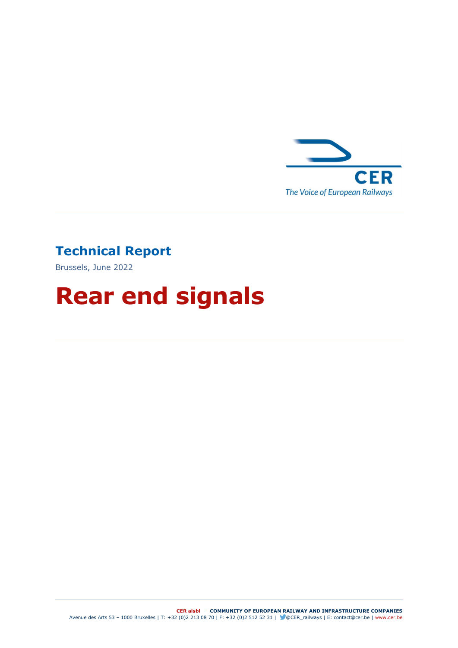

## Technical Report

Brussels, June 2022

# Rear end signals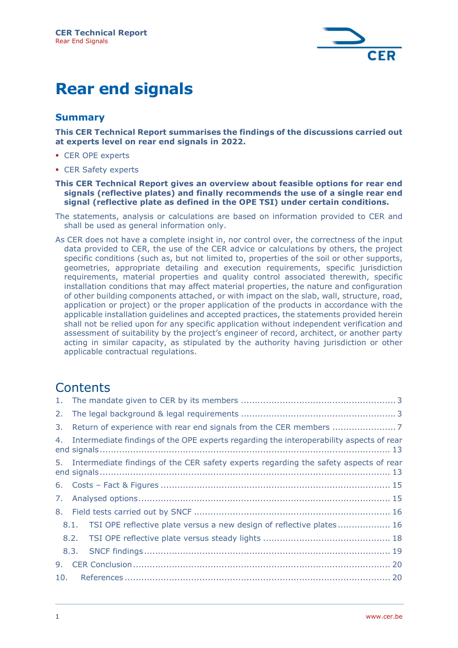

## Rear end signals

## Summary

This CER Technical Report summarises the findings of the discussions carried out at experts level on rear end signals in 2022.

- CER OPE experts
- CER Safety experts

#### This CER Technical Report gives an overview about feasible options for rear end signals (reflective plates) and finally recommends the use of a single rear end signal (reflective plate as defined in the OPE TSI) under certain conditions.

- The statements, analysis or calculations are based on information provided to CER and shall be used as general information only.
- As CER does not have a complete insight in, nor control over, the correctness of the input data provided to CER, the use of the CER advice or calculations by others, the project specific conditions (such as, but not limited to, properties of the soil or other supports, geometries, appropriate detailing and execution requirements, specific jurisdiction requirements, material properties and quality control associated therewith, specific installation conditions that may affect material properties, the nature and configuration of other building components attached, or with impact on the slab, wall, structure, road, application or project) or the proper application of the products in accordance with the applicable installation guidelines and accepted practices, the statements provided herein shall not be relied upon for any specific application without independent verification and assessment of suitability by the project's engineer of record, architect, or another party acting in similar capacity, as stipulated by the authority having jurisdiction or other applicable contractual regulations.

## **Contents**

| 2.  |                                                                                         |                                                                           |  |
|-----|-----------------------------------------------------------------------------------------|---------------------------------------------------------------------------|--|
| 3.  |                                                                                         |                                                                           |  |
| 4.  | Intermediate findings of the OPE experts regarding the interoperability aspects of rear |                                                                           |  |
|     | 5. Intermediate findings of the CER safety experts regarding the safety aspects of rear |                                                                           |  |
|     |                                                                                         |                                                                           |  |
| 7.  |                                                                                         |                                                                           |  |
| 8.  |                                                                                         |                                                                           |  |
|     |                                                                                         | 8.1. TSI OPE reflective plate versus a new design of reflective plates 16 |  |
|     |                                                                                         |                                                                           |  |
|     | 8.3.                                                                                    |                                                                           |  |
| 9.  |                                                                                         |                                                                           |  |
| 10. |                                                                                         |                                                                           |  |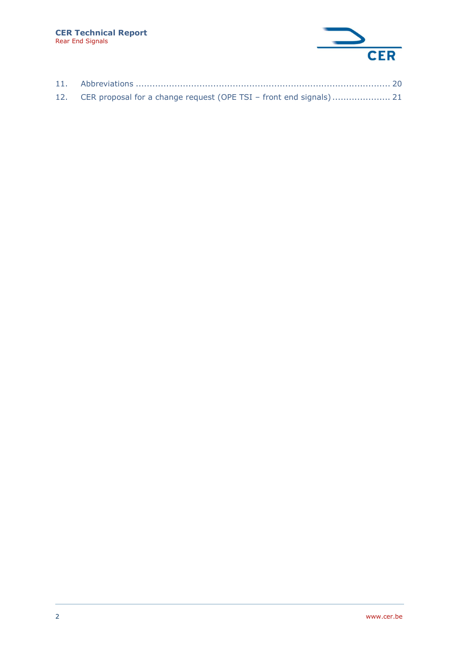

| 12. CER proposal for a change request (OPE TSI - front end signals) 21 |  |
|------------------------------------------------------------------------|--|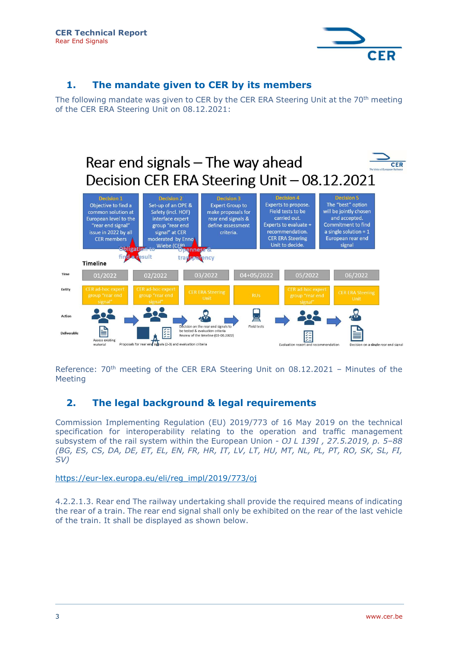

## 1. The mandate given to CER by its members

The following mandate was given to CER by the CER ERA Steering Unit at the 70<sup>th</sup> meeting of the CER ERA Steering Unit on 08.12.2021:



Reference: 70<sup>th</sup> meeting of the CER ERA Steering Unit on 08.12.2021 - Minutes of the Meeting

## 2. The legal background & legal requirements

Commission Implementing Regulation (EU) 2019/773 of 16 May 2019 on the technical specification for interoperability relating to the operation and traffic management subsystem of the rail system within the European Union - OJ L 139I, 27.5.2019, p. 5-88 (BG, ES, CS, DA, DE, ET, EL, EN, FR, HR, IT, LV, LT, HU, MT, NL, PL, PT, RO, SK, SL, FI, SV)

https://eur-lex.europa.eu/eli/reg\_impl/2019/773/oj

4.2.2.1.3. Rear end The railway undertaking shall provide the required means of indicating the rear of a train. The rear end signal shall only be exhibited on the rear of the last vehicle of the train. It shall be displayed as shown below.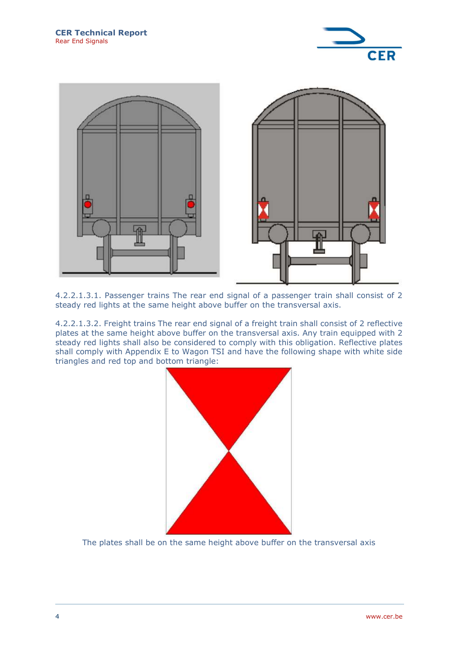



4.2.2.1.3.1. Passenger trains The rear end signal of a passenger train shall consist of 2 steady red lights at the same height above buffer on the transversal axis.

4.2.2.1.3.2. Freight trains The rear end signal of a freight train shall consist of 2 reflective plates at the same height above buffer on the transversal axis. Any train equipped with 2 steady red lights shall also be considered to comply with this obligation. Reflective plates shall comply with Appendix E to Wagon TSI and have the following shape with white side triangles and red top and bottom triangle:



The plates shall be on the same height above buffer on the transversal axis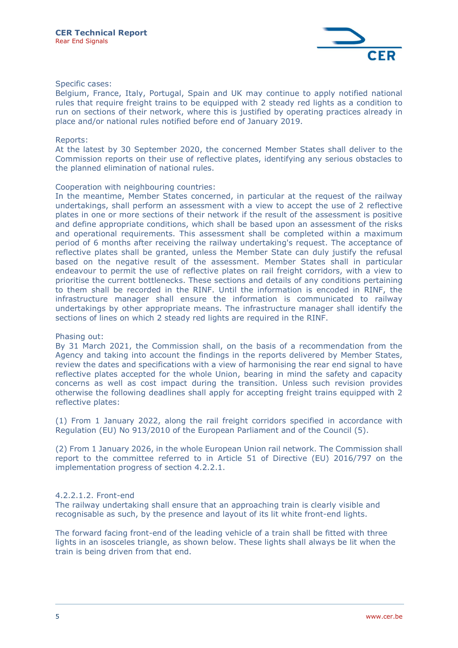

#### Specific cases:

Belgium, France, Italy, Portugal, Spain and UK may continue to apply notified national rules that require freight trains to be equipped with 2 steady red lights as a condition to run on sections of their network, where this is justified by operating practices already in place and/or national rules notified before end of January 2019.

#### Reports:

At the latest by 30 September 2020, the concerned Member States shall deliver to the Commission reports on their use of reflective plates, identifying any serious obstacles to the planned elimination of national rules.

#### Cooperation with neighbouring countries:

In the meantime, Member States concerned, in particular at the request of the railway undertakings, shall perform an assessment with a view to accept the use of 2 reflective plates in one or more sections of their network if the result of the assessment is positive and define appropriate conditions, which shall be based upon an assessment of the risks and operational requirements. This assessment shall be completed within a maximum period of 6 months after receiving the railway undertaking's request. The acceptance of reflective plates shall be granted, unless the Member State can duly justify the refusal based on the negative result of the assessment. Member States shall in particular endeavour to permit the use of reflective plates on rail freight corridors, with a view to prioritise the current bottlenecks. These sections and details of any conditions pertaining to them shall be recorded in the RINF. Until the information is encoded in RINF, the infrastructure manager shall ensure the information is communicated to railway undertakings by other appropriate means. The infrastructure manager shall identify the sections of lines on which 2 steady red lights are required in the RINF.

#### Phasing out:

By 31 March 2021, the Commission shall, on the basis of a recommendation from the Agency and taking into account the findings in the reports delivered by Member States, review the dates and specifications with a view of harmonising the rear end signal to have reflective plates accepted for the whole Union, bearing in mind the safety and capacity concerns as well as cost impact during the transition. Unless such revision provides otherwise the following deadlines shall apply for accepting freight trains equipped with 2 reflective plates:

(1) From 1 January 2022, along the rail freight corridors specified in accordance with Regulation (EU) No 913/2010 of the European Parliament and of the Council (5).

(2) From 1 January 2026, in the whole European Union rail network. The Commission shall report to the committee referred to in Article 51 of Directive (EU) 2016/797 on the implementation progress of section 4.2.2.1.

#### 4.2.2.1.2. Front-end

The railway undertaking shall ensure that an approaching train is clearly visible and recognisable as such, by the presence and layout of its lit white front-end lights.

The forward facing front-end of the leading vehicle of a train shall be fitted with three lights in an isosceles triangle, as shown below. These lights shall always be lit when the train is being driven from that end.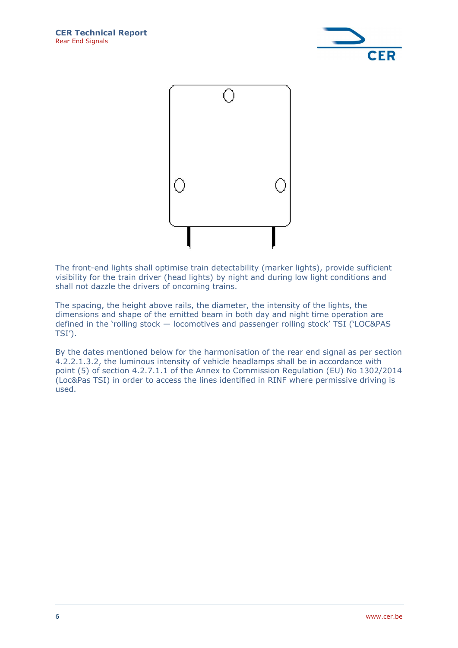



The front-end lights shall optimise train detectability (marker lights), provide sufficient visibility for the train driver (head lights) by night and during low light conditions and shall not dazzle the drivers of oncoming trains.

The spacing, the height above rails, the diameter, the intensity of the lights, the dimensions and shape of the emitted beam in both day and night time operation are defined in the 'rolling stock — locomotives and passenger rolling stock' TSI ('LOC&PAS TSI').

By the dates mentioned below for the harmonisation of the rear end signal as per section 4.2.2.1.3.2, the luminous intensity of vehicle headlamps shall be in accordance with point (5) of section 4.2.7.1.1 of the Annex to Commission Regulation (EU) No 1302/2014 (Loc&Pas TSI) in order to access the lines identified in RINF where permissive driving is used.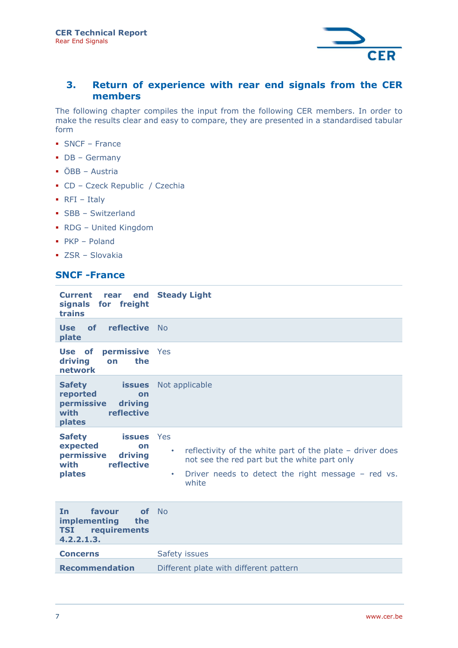

## 3. Return of experience with rear end signals from the CER members

The following chapter compiles the input from the following CER members. In order to make the results clear and easy to compare, they are presented in a standardised tabular form

- SNCF France
- DB Germany
- ÖBB Austria
- CD Czeck Republic / Czechia
- $\blacksquare$  RFI Italy
- **SBB Switzerland**
- RDG United Kingdom
- $PKP Poland$
- ZSR Slovakia

## SNCF -France

| <b>Current</b><br>rear<br>signals for freight<br>trains                                                   | end Steady Light                                                                                                                                                                            |
|-----------------------------------------------------------------------------------------------------------|---------------------------------------------------------------------------------------------------------------------------------------------------------------------------------------------|
| reflective No<br>of<br>Use<br>plate                                                                       |                                                                                                                                                                                             |
| Use of<br>permissive Yes<br>driving<br>the<br>on<br>network                                               |                                                                                                                                                                                             |
| <b>Safety</b><br><b>issues</b><br>reported<br>on<br>permissive<br>driving<br>with<br>reflective<br>plates | Not applicable                                                                                                                                                                              |
| <b>Safety</b><br><b>issues</b><br>expected<br>on<br>permissive<br>driving<br>with<br>reflective<br>plates | Yes<br>reflectivity of the white part of the plate $-$ driver does<br>٠<br>not see the red part but the white part only<br>Driver needs to detect the right message - red vs.<br>٠<br>white |
| <b>In</b><br>favour<br>of<br><b>implementing</b><br>the<br>requirements<br><b>TSI</b><br>4.2.2.1.3.       | No                                                                                                                                                                                          |
| <b>Concerns</b>                                                                                           | Safety issues                                                                                                                                                                               |
| <b>Recommendation</b>                                                                                     | Different plate with different pattern                                                                                                                                                      |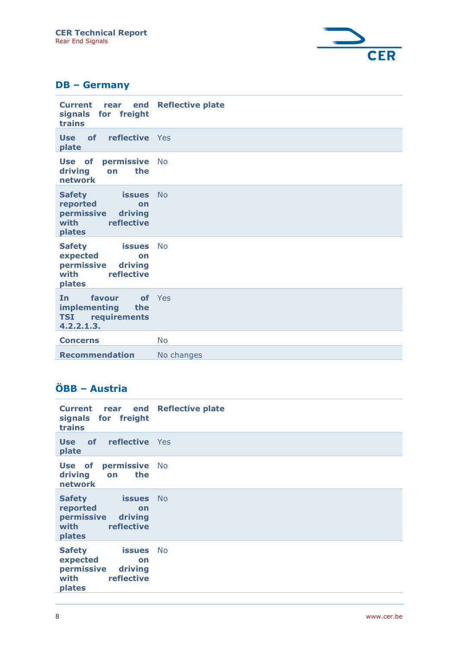

## DB – Germany

| <b>Current</b><br>end<br>rear<br>signals for freight<br>trains                                            | <b>Reflective plate</b> |
|-----------------------------------------------------------------------------------------------------------|-------------------------|
| Use of<br><b>reflective</b> Yes<br>plate                                                                  |                         |
| Use of<br>permissive No<br>driving<br>the<br>on<br>network                                                |                         |
| <b>issues</b><br><b>Safety</b><br>reported<br>on<br>permissive<br>driving<br>with<br>reflective<br>plates | <b>No</b>               |
| <b>Safety</b><br><b>issues</b><br>expected<br>on<br>permissive<br>driving<br>with<br>reflective<br>plates | <b>No</b>               |
| favour<br><b>In</b><br>implementing<br>the<br><b>TSI</b> requirements<br>4.2.2.1.3.                       | of Yes                  |
| <b>Concerns</b>                                                                                           | <b>No</b>               |
| <b>Recommendation</b>                                                                                     | No changes              |

## ÖBB – Austria

| <b>Current</b><br>rear end<br>signals for freight<br>trains                                               | <b>Reflective plate</b> |
|-----------------------------------------------------------------------------------------------------------|-------------------------|
| reflective Yes<br><b>of</b><br>Use<br>plate                                                               |                         |
| <b>Use of permissive No</b><br>driving<br>the<br>on<br>network                                            |                         |
| <b>Safety</b><br><b>issues</b><br>reported<br>on<br>permissive<br>driving<br>reflective<br>with<br>plates | <b>No</b>               |
| <b>Safety</b><br><b>issues</b><br>expected<br>on<br>permissive<br>driving<br>reflective<br>with<br>plates | <b>No</b>               |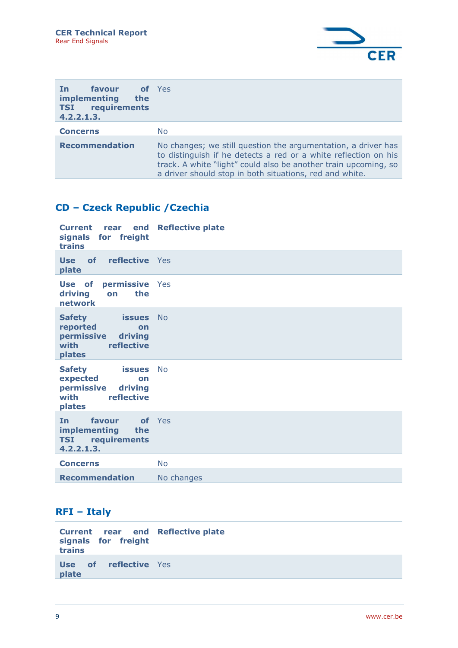

| <b>favour</b><br>In.<br>implementing<br>the<br><b>TSI</b> requirements<br>4.2.2.1.3. | of Yes                                                                                                                                                                                                                                                         |
|--------------------------------------------------------------------------------------|----------------------------------------------------------------------------------------------------------------------------------------------------------------------------------------------------------------------------------------------------------------|
| <b>Concerns</b>                                                                      | No.                                                                                                                                                                                                                                                            |
| <b>Recommendation</b>                                                                | No changes; we still question the argumentation, a driver has<br>to distinguish if he detects a red or a white reflection on his<br>track. A white "light" could also be another train upcoming, so<br>a driver should stop in both situations, red and white. |

## CD – Czeck Republic /Czechia

| <b>Current</b><br>rear<br>signals for freight<br>trains                                                | end Reflective plate |
|--------------------------------------------------------------------------------------------------------|----------------------|
| <b>Use of reflective</b> Yes<br>plate                                                                  |                      |
| Use of<br>permissive Yes<br>driving<br>the<br>on<br><b>network</b>                                     |                      |
| <b>issues</b><br><b>Safety</b><br>reported<br>on<br>permissive driving<br>with<br>reflective<br>plates | No                   |
| issues No<br><b>Safety</b><br>expected<br>on<br>permissive<br>driving<br>with<br>reflective<br>plates  |                      |
| favour<br><b>In</b><br>implementing<br>the<br><b>TSI</b> requirements<br>4.2.2.1.3.                    | of Yes               |
| <b>Concerns</b>                                                                                        | <b>No</b>            |
| <b>Recommendation</b>                                                                                  | No changes           |

## RFI – Italy

| Current rear end Reflective plate<br>signals for freight<br>trains |  |
|--------------------------------------------------------------------|--|
| <b>Use of reflective</b> Yes<br>plate                              |  |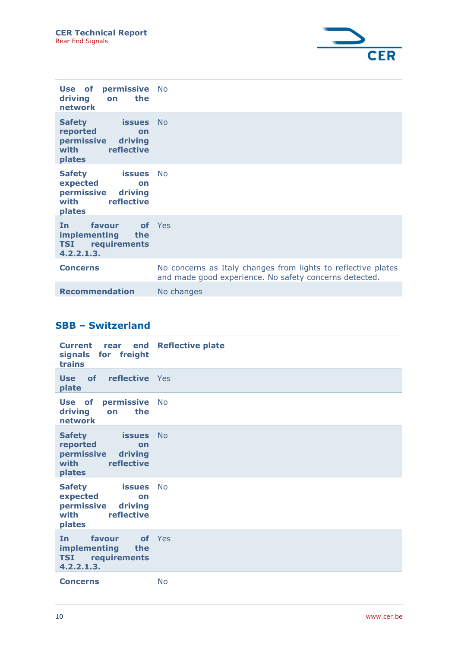

| permissive No<br>Use of<br>driving<br>the<br>on<br>network                                                |                                                                                                                         |
|-----------------------------------------------------------------------------------------------------------|-------------------------------------------------------------------------------------------------------------------------|
| <b>Safety</b><br><b>issues</b><br>reported<br>on<br>permissive<br>driving<br>reflective<br>with<br>plates | - No                                                                                                                    |
| <b>Safety</b><br><b>issues</b><br>expected<br>on<br>permissive<br>driving<br>reflective<br>with<br>plates | N <sub>o</sub>                                                                                                          |
| favour<br><b>of</b> Yes<br>In.<br><b>implementing</b><br>the<br><b>TSI</b> requirements<br>4.2.2.1.3.     |                                                                                                                         |
| <b>Concerns</b>                                                                                           | No concerns as Italy changes from lights to reflective plates<br>and made good experience. No safety concerns detected. |
| <b>Recommendation</b>                                                                                     | No changes                                                                                                              |

## SBB – Switzerland

| <b>Current</b><br>signals for freight<br>trains                                                              | rear end Reflective plate |
|--------------------------------------------------------------------------------------------------------------|---------------------------|
| <b>Use of reflective</b> Yes<br>plate                                                                        |                           |
| Use of permissive<br>driving<br>the<br>on<br>network                                                         | <b>No</b>                 |
| <b>issues</b> No<br><b>Safety</b><br>reported<br>on<br>permissive<br>driving<br>reflective<br>with<br>plates |                           |
| <b>Safety</b><br>issues<br>expected<br>on<br>permissive<br>driving<br>reflective<br>with<br>plates           | <b>No</b>                 |
| favour<br><b>In</b><br><b>implementing</b><br>the<br><b>TSI</b> requirements<br>4.2.2.1.3.                   | of Yes                    |
| <b>Concerns</b>                                                                                              | <b>No</b>                 |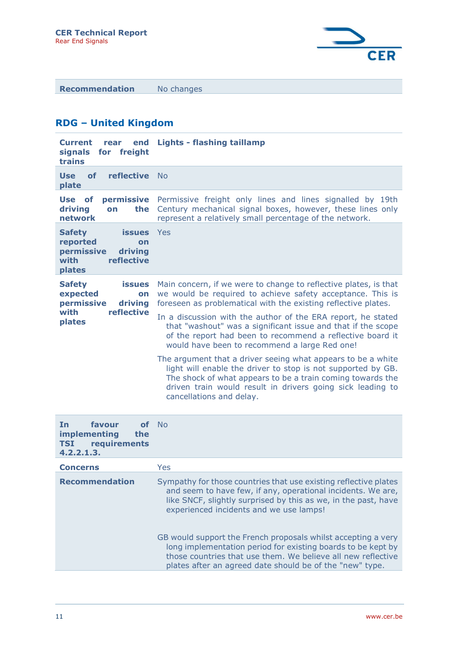

Recommendation No changes

## RDG – United Kingdom

| <b>Current</b><br>end<br>rear<br>signals<br>for freight<br>trains                                         | <b>Lights - flashing taillamp</b>                                                                                                                                                                                                                                                    |
|-----------------------------------------------------------------------------------------------------------|--------------------------------------------------------------------------------------------------------------------------------------------------------------------------------------------------------------------------------------------------------------------------------------|
| reflective<br><b>Use</b><br>of<br>plate                                                                   | <b>No</b>                                                                                                                                                                                                                                                                            |
| Use of<br><b>permissive</b><br>driving<br>the<br>on<br>network                                            | Permissive freight only lines and lines signalled by 19th<br>Century mechanical signal boxes, however, these lines only<br>represent a relatively small percentage of the network.                                                                                                   |
| <b>Safety</b><br><b>issues</b><br>reported<br>on<br>permissive<br>driving<br>with<br>reflective<br>plates | Yes                                                                                                                                                                                                                                                                                  |
| <b>Safety</b><br><b>issues</b><br>expected<br>on<br>permissive<br>driving                                 | Main concern, if we were to change to reflective plates, is that<br>we would be required to achieve safety acceptance. This is<br>foreseen as problematical with the existing reflective plates.                                                                                     |
| with<br>reflective<br>plates                                                                              | In a discussion with the author of the ERA report, he stated<br>that "washout" was a significant issue and that if the scope<br>of the report had been to recommend a reflective board it<br>would have been to recommend a large Red one!                                           |
|                                                                                                           | The argument that a driver seeing what appears to be a white<br>light will enable the driver to stop is not supported by GB.<br>The shock of what appears to be a train coming towards the<br>driven train would result in drivers going sick leading to<br>cancellations and delay. |
| favour<br><b>of</b><br>In<br>implementing<br>the<br>requirements<br><b>TSI</b><br>4.2.2.1.3.              | <b>No</b>                                                                                                                                                                                                                                                                            |

| <b>Concerns</b>       | Yes                                                                                                                                                                                                                                                       |
|-----------------------|-----------------------------------------------------------------------------------------------------------------------------------------------------------------------------------------------------------------------------------------------------------|
| <b>Recommendation</b> | Sympathy for those countries that use existing reflective plates<br>and seem to have few, if any, operational incidents. We are,<br>like SNCF, slightly surprised by this as we, in the past, have<br>experienced incidents and we use lamps!             |
|                       | GB would support the French proposals whilst accepting a very<br>long implementation period for existing boards to be kept by<br>those countries that use them. We believe all new reflective<br>plates after an agreed date should be of the "new" type. |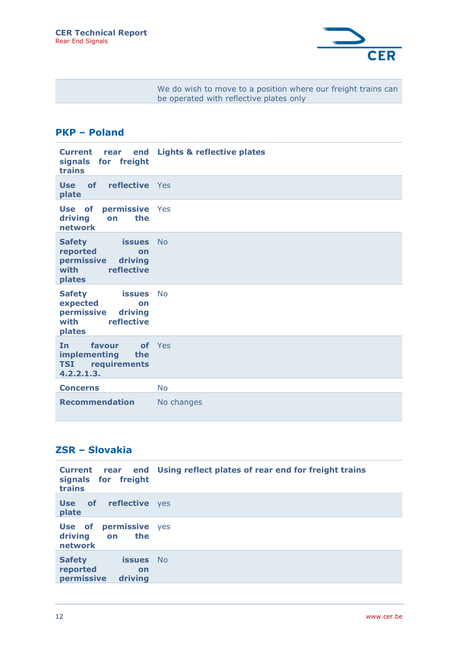

We do wish to move to a position where our freight trains can be operated with reflective plates only

## PKP – Poland

| <b>Current</b><br>rear end<br>signals for freight<br>trains                                               | <b>Lights &amp; reflective plates</b> |
|-----------------------------------------------------------------------------------------------------------|---------------------------------------|
| <b>Use of reflective</b> Yes<br>plate                                                                     |                                       |
| Use of<br>permissive Yes<br>driving<br>the<br>on<br>network                                               |                                       |
| <b>Safety</b><br><b>issues</b><br>reported<br>on<br>permissive<br>driving<br>with<br>reflective<br>plates | <b>No</b>                             |
| <b>Safety</b><br><b>issues</b><br>expected<br>on<br>permissive<br>driving<br>with<br>reflective<br>plates | <b>No</b>                             |
| <b>In</b><br>favour<br>implementing<br>the<br><b>TSI</b><br>requirements<br>4.2.2.1.3.                    | of Yes                                |
| <b>Concerns</b>                                                                                           | <b>No</b>                             |
| <b>Recommendation</b>                                                                                     | No changes                            |

## ZSR – Slovakia

| signals for freight<br>trains                                                | Current rear end Using reflect plates of rear end for freight trains |
|------------------------------------------------------------------------------|----------------------------------------------------------------------|
| Use of<br>reflective yes<br>plate                                            |                                                                      |
| permissive yes<br>Use of<br>driving<br>the<br>on<br>network                  |                                                                      |
| <b>Safety</b><br><b>issues</b> No<br>reported<br>on<br>driving<br>permissive |                                                                      |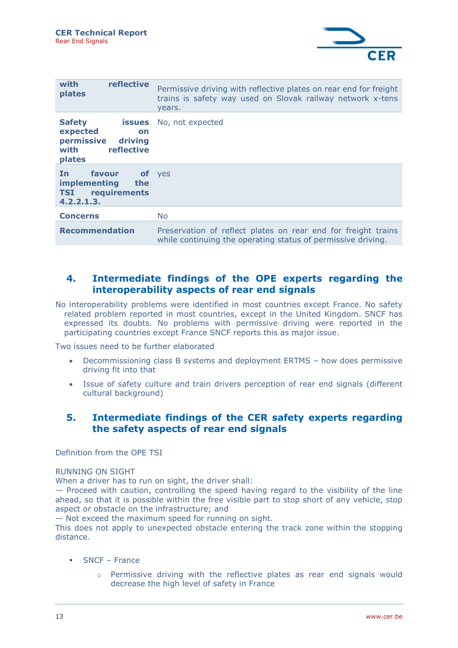

| reflective<br>with<br>plates                                                                          | Permissive driving with reflective plates on rear end for freight<br>trains is safety way used on Slovak railway network x-tens<br>years. |
|-------------------------------------------------------------------------------------------------------|-------------------------------------------------------------------------------------------------------------------------------------------|
| <b>Safety</b><br>issues<br>expected<br>on<br>permissive<br>driving<br>with<br>reflective<br>plates    | No, not expected                                                                                                                          |
| favour<br><b>of</b> yes<br>In.<br><i>implementing</i><br>the<br><b>TSI</b> requirements<br>4.2.2.1.3. |                                                                                                                                           |
| <b>Concerns</b>                                                                                       | No.                                                                                                                                       |
| <b>Recommendation</b>                                                                                 | Preservation of reflect plates on rear end for freight trains<br>while continuing the operating status of permissive driving.             |

## 4. Intermediate findings of the OPE experts regarding the interoperability aspects of rear end signals

No interoperability problems were identified in most countries except France. No safety related problem reported in most countries, except in the United Kingdom. SNCF has expressed its doubts. No problems with permissive driving were reported in the participating countries except France SNCF reports this as major issue.

Two issues need to be further elaborated

- Decommissioning class B systems and deployment ERTMS how does permissive driving fit into that
- Issue of safety culture and train drivers perception of rear end signals (different cultural background)

### 5. Intermediate findings of the CER safety experts regarding the safety aspects of rear end signals

Definition from the OPE TSI

#### RUNNING ON SIGHT

When a driver has to run on sight, the driver shall:

— Proceed with caution, controlling the speed having regard to the visibility of the line ahead, so that it is possible within the free visible part to stop short of any vehicle, stop aspect or obstacle on the infrastructure; and

— Not exceed the maximum speed for running on sight.

This does not apply to unexpected obstacle entering the track zone within the stopping distance.

- SNCF France
	- $\circ$  Permissive driving with the reflective plates as rear end signals would decrease the high level of safety in France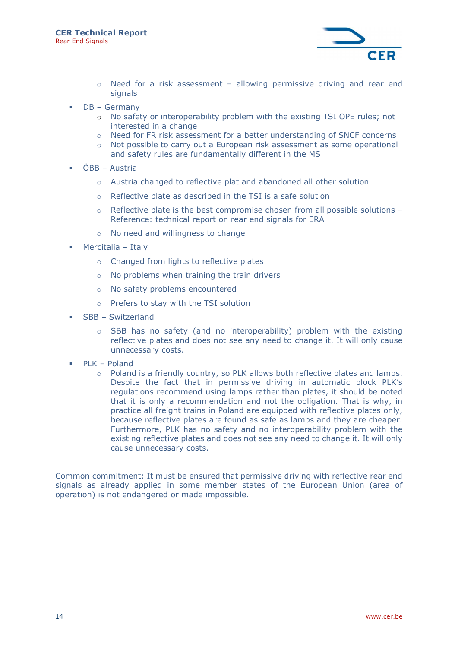

- Need for a risk assessment allowing permissive driving and rear end signals
- DB Germany
	- o No safety or interoperability problem with the existing TSI OPE rules; not interested in a change
	- o Need for FR risk assessment for a better understanding of SNCF concerns
	- $\circ$  Not possible to carry out a European risk assessment as some operational and safety rules are fundamentally different in the MS
- ÖBB Austria
	- o Austria changed to reflective plat and abandoned all other solution
	- o Reflective plate as described in the TSI is a safe solution
	- $\circ$  Reflective plate is the best compromise chosen from all possible solutions Reference: technical report on rear end signals for ERA
	- o No need and willingness to change
- Mercitalia Italy
	- o Changed from lights to reflective plates
	- o No problems when training the train drivers
	- o No safety problems encountered
	- o Prefers to stay with the TSI solution
- SBB Switzerland
	- $\circ$  SBB has no safety (and no interoperability) problem with the existing reflective plates and does not see any need to change it. It will only cause unnecessary costs.
- PLK Poland
	- $\circ$  Poland is a friendly country, so PLK allows both reflective plates and lamps. Despite the fact that in permissive driving in automatic block PLK's regulations recommend using lamps rather than plates, it should be noted that it is only a recommendation and not the obligation. That is why, in practice all freight trains in Poland are equipped with reflective plates only, because reflective plates are found as safe as lamps and they are cheaper. Furthermore, PLK has no safety and no interoperability problem with the existing reflective plates and does not see any need to change it. It will only cause unnecessary costs.

Common commitment: It must be ensured that permissive driving with reflective rear end signals as already applied in some member states of the European Union (area of operation) is not endangered or made impossible.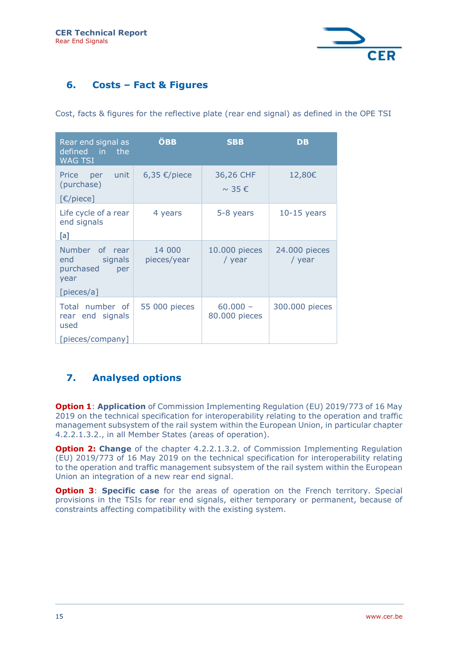

## 6. Costs – Fact & Figures

Cost, facts & figures for the reflective plate (rear end signal) as defined in the OPE TSI

| Rear end signal as<br>defined in the<br><b>WAG TSI</b>                     | <b>ÖBB</b>            | <b>SBB</b>                        | <b>DB</b>               |
|----------------------------------------------------------------------------|-----------------------|-----------------------------------|-------------------------|
| unit<br>Price<br>per<br>(purchase)<br>[€/piece]                            | 6,35 €/piece          | 36,26 CHF<br>$\sim$ 35 $\epsilon$ | 12,80€                  |
| Life cycle of a rear<br>end signals<br>[a]                                 | 4 years               | 5-8 years                         | $10-15$ years           |
| Number of rear<br>signals<br>end<br>purchased<br>per<br>year<br>[pieces/a] | 14 000<br>pieces/year | 10.000 pieces<br>/ year           | 24.000 pieces<br>/ year |
| Total number of<br>rear end signals<br>used<br>[pieces/company]            | 55 000 pieces         | $60.000 -$<br>80.000 pieces       | 300.000 pieces          |

## 7. Analysed options

**Option 1: Application** of Commission Implementing Regulation (EU) 2019/773 of 16 May 2019 on the technical specification for interoperability relating to the operation and traffic management subsystem of the rail system within the European Union, in particular chapter 4.2.2.1.3.2., in all Member States (areas of operation).

**Option 2: Change** of the chapter 4.2.2.1.3.2. of Commission Implementing Regulation (EU) 2019/773 of 16 May 2019 on the technical specification for interoperability relating to the operation and traffic management subsystem of the rail system within the European Union an integration of a new rear end signal.

**Option 3: Specific case** for the areas of operation on the French territory. Special provisions in the TSIs for rear end signals, either temporary or permanent, because of constraints affecting compatibility with the existing system.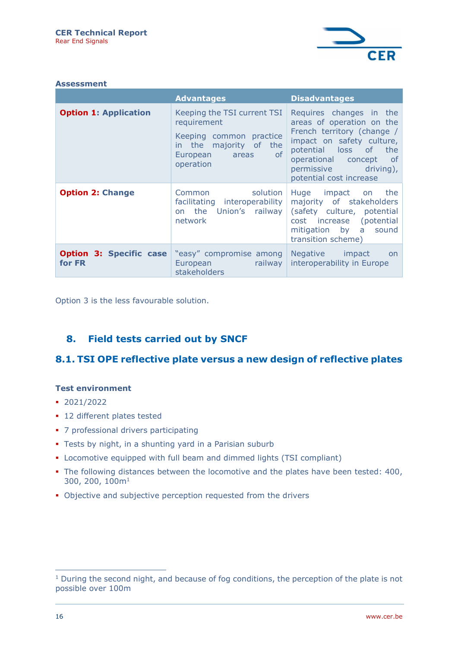

|  | Assessment |
|--|------------|
|  |            |

|                                          | <b>Advantages</b>                                                                                                                 | <b>Disadvantages</b>                                                                                                                                                                                                  |
|------------------------------------------|-----------------------------------------------------------------------------------------------------------------------------------|-----------------------------------------------------------------------------------------------------------------------------------------------------------------------------------------------------------------------|
| <b>Option 1: Application</b>             | Keeping the TSI current TSI<br>requirement<br>Keeping common practice<br>in the majority of the<br>European areas of<br>operation | Requires changes in the<br>areas of operation on the<br>French territory (change /<br>impact on safety culture,<br>potential loss of the<br>operational concept of<br>permissive driving),<br>potential cost increase |
| <b>Option 2: Change</b>                  | solution<br>Common<br>facilitating interoperability<br>on the Union's railway<br>network                                          | Huge impact on the<br>majority of stakeholders<br>(safety culture, potential<br>cost increase (potential<br>mitigation by a sound<br>transition scheme)                                                               |
| <b>Option 3: Specific case</b><br>for FR | "easy" compromise among<br>railway<br>European <b>European</b><br>stakeholders                                                    | Negative impact<br>on<br>interoperability in Europe                                                                                                                                                                   |

Option 3 is the less favourable solution.

## 8. Field tests carried out by SNCF

## 8.1. TSI OPE reflective plate versus a new design of reflective plates

#### Test environment

- 2021/2022
- 12 different plates tested
- 7 professional drivers participating
- **Tests by night, in a shunting yard in a Parisian suburb**
- Locomotive equipped with full beam and dimmed lights (TSI compliant)
- The following distances between the locomotive and the plates have been tested: 400, 300, 200, 100m<sup>1</sup>
- Objective and subjective perception requested from the drivers

<sup>&</sup>lt;sup>1</sup> During the second night, and because of fog conditions, the perception of the plate is not possible over 100m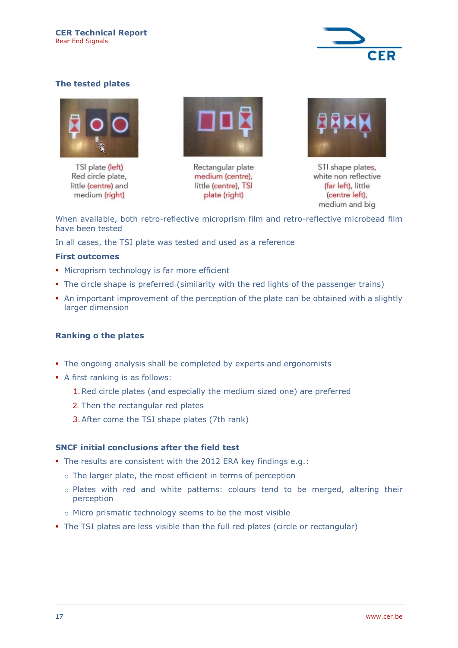

#### The tested plates



TSI plate (left) Red circle plate, little (centre) and medium (right)



Rectangular plate medium (centre), little (centre), TSI plate (right)



STI shape plates, white non reflective (far left), little (centre left), medium and big

When available, both retro-reflective microprism film and retro-reflective microbead film have been tested

In all cases, the TSI plate was tested and used as a reference

#### First outcomes

- **Microprism technology is far more efficient**
- The circle shape is preferred (similarity with the red lights of the passenger trains)
- An important improvement of the perception of the plate can be obtained with a slightly larger dimension

#### Ranking o the plates

- The ongoing analysis shall be completed by experts and ergonomists
- A first ranking is as follows:
	- 1.Red circle plates (and especially the medium sized one) are preferred
	- 2. Then the rectangular red plates
	- 3.After come the TSI shape plates (7th rank)

#### SNCF initial conclusions after the field test

- The results are consistent with the 2012 ERA key findings e.g.:
	- o The larger plate, the most efficient in terms of perception
	- o Plates with red and white patterns: colours tend to be merged, altering their perception
	- o Micro prismatic technology seems to be the most visible
- The TSI plates are less visible than the full red plates (circle or rectangular)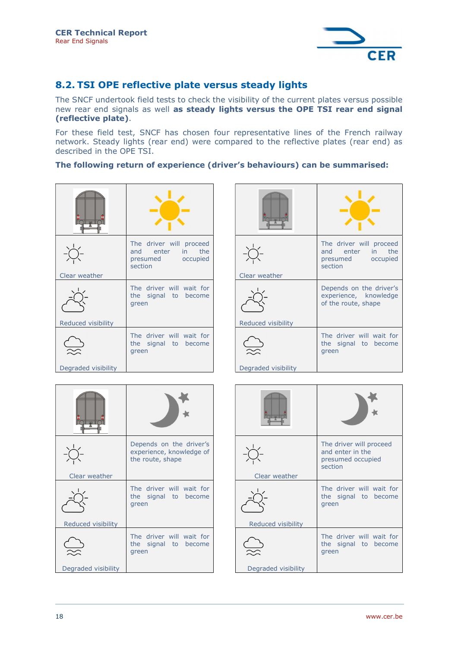

## 8.2. TSI OPE reflective plate versus steady lights

The SNCF undertook field tests to check the visibility of the current plates versus possible new rear end signals as well as steady lights versus the OPE TSI rear end signal (reflective plate).

For these field test, SNCF has chosen four representative lines of the French railway network. Steady lights (rear end) were compared to the reflective plates (rear end) as described in the OPE TSI.

#### The following return of experience (driver's behaviours) can be summarised:

| $\overline{\mathbf{f}}$ |                                                                             |
|-------------------------|-----------------------------------------------------------------------------|
| Clear weather           | The driver will proceed<br>and enter in the<br>presumed occupied<br>section |
| Reduced visibility      | The driver will wait for<br>the signal to become<br>green                   |
| Degraded visibility     | The driver will wait for<br>the signal to become<br>green                   |

| Clear weather       | The driver will proceed<br>and enter in the<br>presumed occupied<br>section |
|---------------------|-----------------------------------------------------------------------------|
| Reduced visibility  | Depends on the driver's<br>experience, knowledge<br>of the route, shape     |
|                     | The driver will wait for<br>the signal to become<br>green                   |
| Degraded visibility |                                                                             |

| $\overline{\mathbf{f}}$ |                                                                         |
|-------------------------|-------------------------------------------------------------------------|
| Clear weather           | Depends on the driver's<br>experience, knowledge of<br>the route, shape |
| Reduced visibility      | The driver will wait for<br>the signal to become<br>green               |
|                         | The driver will wait for<br>the signal to become<br>green               |
| Degraded visibility     |                                                                         |

| Clear weather       | The driver will proceed<br>and enter in the<br>presumed occupied<br>section |
|---------------------|-----------------------------------------------------------------------------|
| Reduced visibility  | The driver will wait for<br>the signal to become<br>green                   |
|                     | The driver will wait for<br>the signal to become<br>green                   |
| Degraded visibility |                                                                             |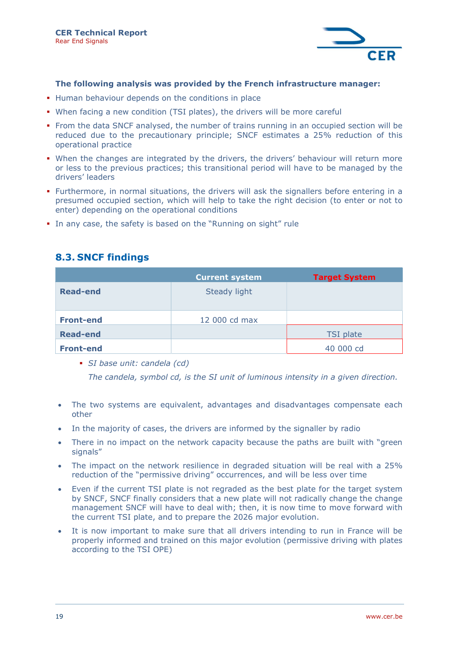

#### The following analysis was provided by the French infrastructure manager:

- **Human behaviour depends on the conditions in place**
- When facing a new condition (TSI plates), the drivers will be more careful
- From the data SNCF analysed, the number of trains running in an occupied section will be reduced due to the precautionary principle; SNCF estimates a 25% reduction of this operational practice
- When the changes are integrated by the drivers, the drivers' behaviour will return more or less to the previous practices; this transitional period will have to be managed by the drivers' leaders
- Furthermore, in normal situations, the drivers will ask the signallers before entering in a presumed occupied section, which will help to take the right decision (to enter or not to enter) depending on the operational conditions
- In any case, the safety is based on the "Running on sight" rule

## 8.3. SNCF findings

|                  | <b>Current system</b> | <b>Target System</b> |
|------------------|-----------------------|----------------------|
| <b>Read-end</b>  | Steady light          |                      |
| <b>Front-end</b> | 12 000 cd max         |                      |
| <b>Read-end</b>  |                       | <b>TSI</b> plate     |
| <b>Front-end</b> |                       | 40 000 cd            |

SI base unit: candela (cd)

The candela, symbol cd, is the SI unit of luminous intensity in a given direction.

- The two systems are equivalent, advantages and disadvantages compensate each other
- In the majority of cases, the drivers are informed by the signaller by radio
- There in no impact on the network capacity because the paths are built with "green signals"
- The impact on the network resilience in degraded situation will be real with a 25% reduction of the "permissive driving" occurrences, and will be less over time
- Even if the current TSI plate is not regraded as the best plate for the target system by SNCF, SNCF finally considers that a new plate will not radically change the change management SNCF will have to deal with; then, it is now time to move forward with the current TSI plate, and to prepare the 2026 major evolution.
- It is now important to make sure that all drivers intending to run in France will be properly informed and trained on this major evolution (permissive driving with plates according to the TSI OPE)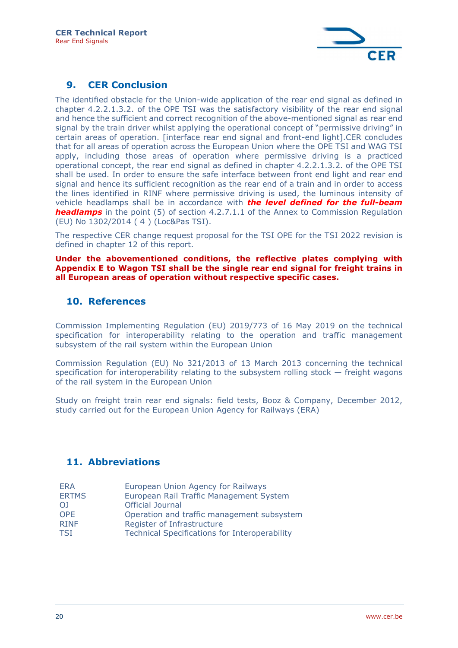

## 9. CER Conclusion

The identified obstacle for the Union-wide application of the rear end signal as defined in chapter 4.2.2.1.3.2. of the OPE TSI was the satisfactory visibility of the rear end signal and hence the sufficient and correct recognition of the above-mentioned signal as rear end signal by the train driver whilst applying the operational concept of "permissive driving" in certain areas of operation. [interface rear end signal and front-end light].CER concludes that for all areas of operation across the European Union where the OPE TSI and WAG TSI apply, including those areas of operation where permissive driving is a practiced operational concept, the rear end signal as defined in chapter 4.2.2.1.3.2. of the OPE TSI shall be used. In order to ensure the safe interface between front end light and rear end signal and hence its sufficient recognition as the rear end of a train and in order to access the lines identified in RINF where permissive driving is used, the luminous intensity of vehicle headlamps shall be in accordance with **the level defined for the full-beam headlamps** in the point  $(5)$  of section  $4.2.7.1.1$  of the Annex to Commission Regulation (EU) No 1302/2014 ( 4 ) (Loc&Pas TSI).

The respective CER change request proposal for the TSI OPE for the TSI 2022 revision is defined in chapter 12 of this report.

Under the abovementioned conditions, the reflective plates complying with Appendix E to Wagon TSI shall be the single rear end signal for freight trains in all European areas of operation without respective specific cases.

## 10. References

Commission Implementing Regulation (EU) 2019/773 of 16 May 2019 on the technical specification for interoperability relating to the operation and traffic management subsystem of the rail system within the European Union

Commission Regulation (EU) No 321/2013 of 13 March 2013 concerning the technical specification for interoperability relating to the subsystem rolling stock — freight wagons of the rail system in the European Union

Study on freight train rear end signals: field tests, Booz & Company, December 2012, study carried out for the European Union Agency for Railways (ERA)

## 11. Abbreviations

| <b>ERA</b>   | European Union Agency for Railways                   |
|--------------|------------------------------------------------------|
| <b>ERTMS</b> | European Rail Traffic Management System              |
| ΟJ           | <b>Official Journal</b>                              |
| OPE          | Operation and traffic management subsystem           |
| <b>RINF</b>  | Register of Infrastructure                           |
| TSI          | <b>Technical Specifications for Interoperability</b> |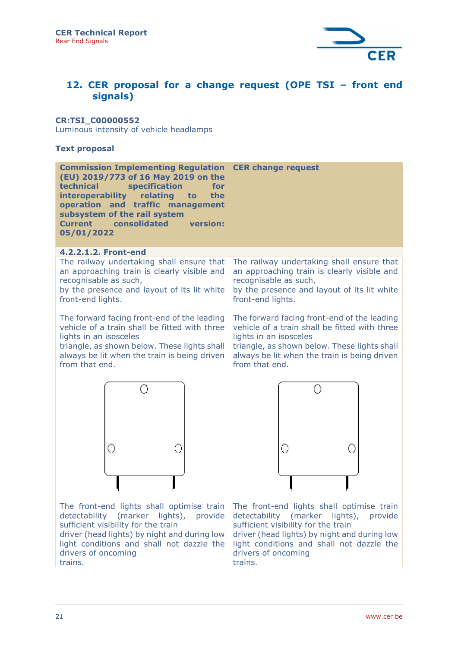

## 12. CER proposal for a change request (OPE TSI – front end signals)

#### CR:TSI\_C00000552

Luminous intensity of vehicle headlamps

#### Text proposal

| <b>Commission Implementing Regulation CER change request</b><br>(EU) 2019/773 of 16 May 2019 on the<br>technical specification<br>for<br>interoperability relating to the<br>operation and traffic management<br>subsystem of the rail system<br><b>Current</b> consolidated version:<br>05/01/2022 |                                                                                                                                                                                       |
|-----------------------------------------------------------------------------------------------------------------------------------------------------------------------------------------------------------------------------------------------------------------------------------------------------|---------------------------------------------------------------------------------------------------------------------------------------------------------------------------------------|
| 4.2.2.1.2. Front-end                                                                                                                                                                                                                                                                                |                                                                                                                                                                                       |
| The railway undertaking shall ensure that<br>an approaching train is clearly visible and<br>recognisable as such,<br>by the presence and layout of its lit white<br>front-end lights.                                                                                                               | The railway undertaking shall ensure that<br>an approaching train is clearly visible and<br>recognisable as such,<br>by the presence and layout of its lit white<br>front-end lights. |
|                                                                                                                                                                                                                                                                                                     |                                                                                                                                                                                       |

vehicle of a train shall be fitted with three lights in an isosceles

triangle, as shown below. These lights shall always be lit when the train is being driven from that end.

The forward facing front-end of the leading The forward facing front-end of the leading vehicle of a train shall be fitted with three lights in an isosceles

> triangle, as shown below. These lights shall always be lit when the train is being driven from that end.



The front-end lights shall optimise train detectability (marker lights), provide sufficient visibility for the train

driver (head lights) by night and during low light conditions and shall not dazzle the drivers of oncoming trains.



The front-end lights shall optimise train detectability (marker lights), provide sufficient visibility for the train driver (head lights) by night and during low light conditions and shall not dazzle the drivers of oncoming trains.